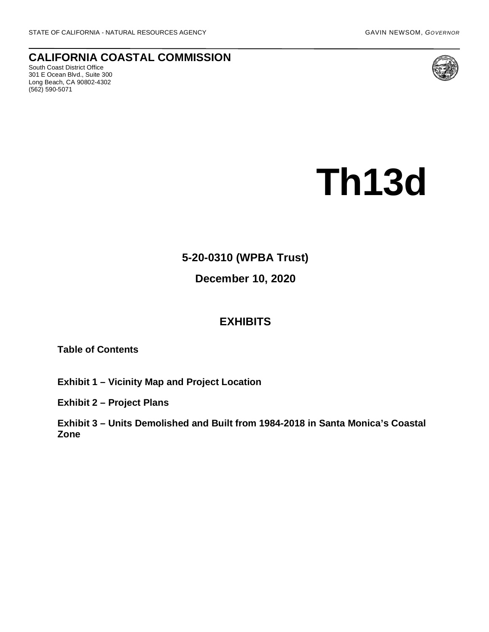**CALIFORNIA COASTAL COMMISSION** South Coast District Office

301 E Ocean Blvd., Suite 300 Long Beach, CA 90802-4302 (562) 590-5071



# **Th13d**

# **5-20-0310 (WPBA Trust)**

## **December 10, 2020**

### **EXHIBITS**

**Table of Contents**

**[Exhibit 1 – Vicinity Map and Project Location](https://documents.coastal.ca.gov/reports/2020/12/th13d/th13d-12-2020-exhibits.pdf)**

**[Exhibit 2 – Project Plans](https://documents.coastal.ca.gov/reports/2020/12/th13d/th13d-12-2020-exhibits.pdf)**

**[Exhibit 3 – Units Demolished and Built from 1984-2018 in Santa Monica's Coastal](https://documents.coastal.ca.gov/reports/2020/12/th13d/th13d-12-2020-exhibits.pdf)  [Zone](https://documents.coastal.ca.gov/reports/2020/12/th13d/th13d-12-2020-exhibits.pdf)**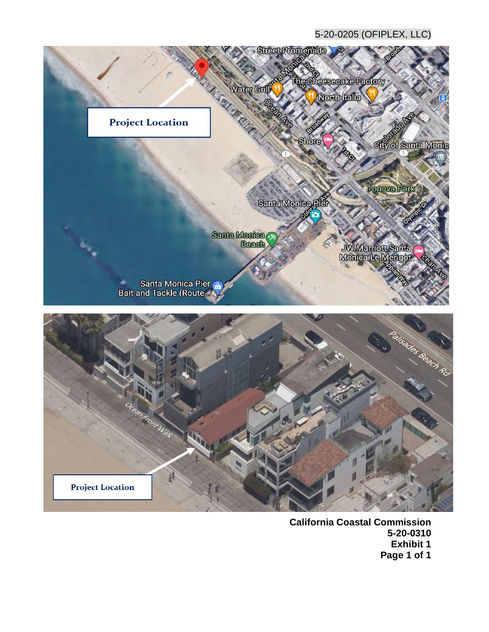#### 5-20-0205 (OFIPLEX, LLC)



**California Coastal Commission 5-20-0310 Exhibit 1 Page 1 of 1**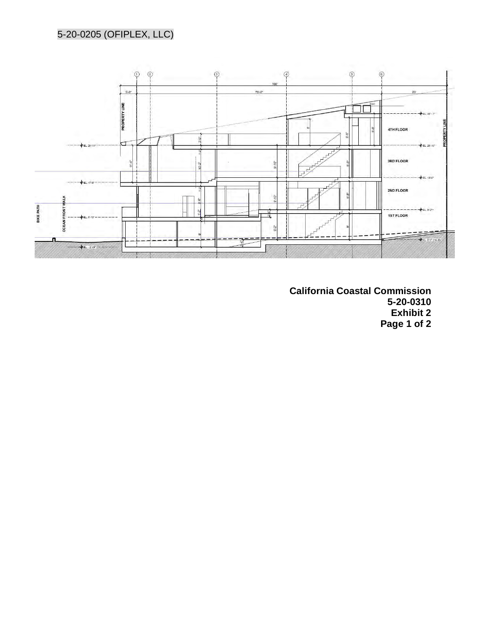

**California Coastal Commission 5-20-0310 Exhibit 2 Page 1 of 2**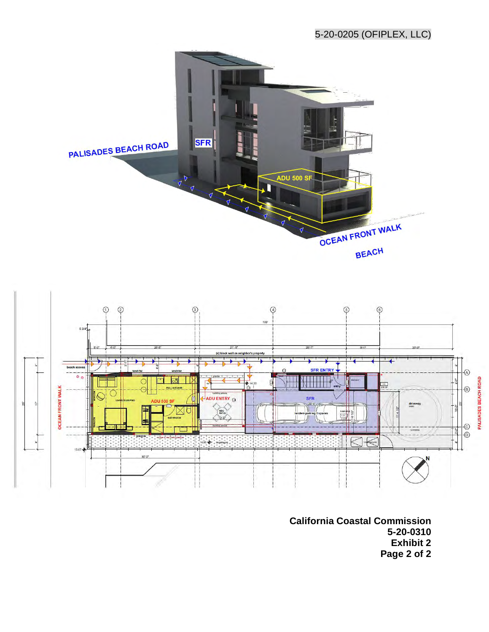#### 5-20-0205 (OFIPLEX, LLC)





**California Coastal Commission 5-20-0310 Exhibit 2 Page 2 of 2**